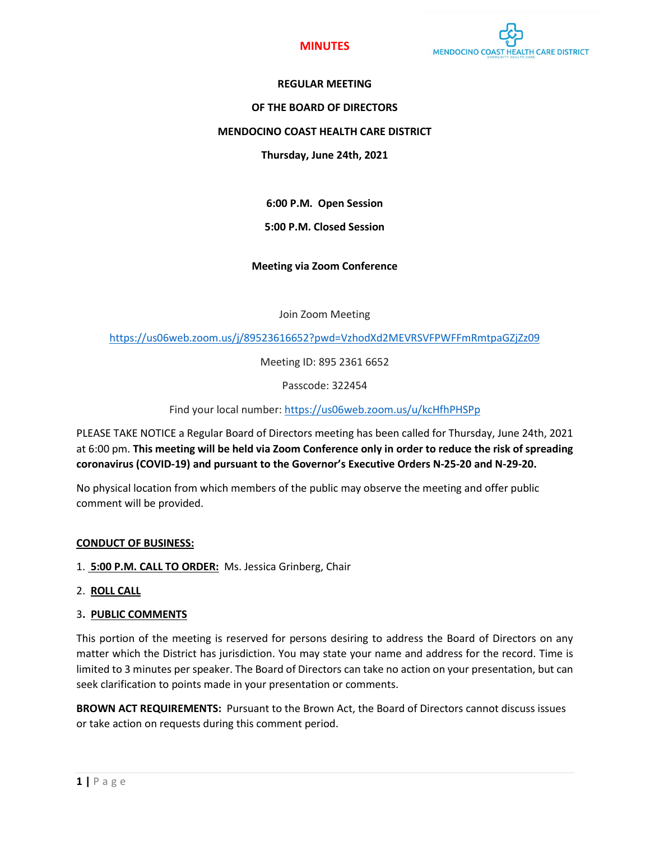

## **MINUTES**

## **REGULAR MEETING**

#### **OF THE BOARD OF DIRECTORS**

## **MENDOCINO COAST HEALTH CARE DISTRICT**

#### **Thursday, June 24th, 2021**

**6:00 P.M. Open Session**

## **5:00 P.M. Closed Session**

## **Meeting via Zoom Conference**

Join Zoom Meeting

<https://us06web.zoom.us/j/89523616652?pwd=VzhodXd2MEVRSVFPWFFmRmtpaGZjZz09>

Meeting ID: 895 2361 6652

Passcode: 322454

Find your local number:<https://us06web.zoom.us/u/kcHfhPHSPp>

PLEASE TAKE NOTICE a Regular Board of Directors meeting has been called for Thursday, June 24th, 2021 at 6:00 pm. **This meeting will be held via Zoom Conference only in order to reduce the risk of spreading coronavirus (COVID-19) and pursuant to the Governor's Executive Orders N-25-20 and N-29-20.** 

No physical location from which members of the public may observe the meeting and offer public comment will be provided.

#### **CONDUCT OF BUSINESS:**

- 1. **5:00 P.M. CALL TO ORDER:** Ms. Jessica Grinberg, Chair
- 2. **ROLL CALL**
- 3**. PUBLIC COMMENTS**

This portion of the meeting is reserved for persons desiring to address the Board of Directors on any matter which the District has jurisdiction. You may state your name and address for the record. Time is limited to 3 minutes per speaker. The Board of Directors can take no action on your presentation, but can seek clarification to points made in your presentation or comments.

**BROWN ACT REQUIREMENTS:** Pursuant to the Brown Act, the Board of Directors cannot discuss issues or take action on requests during this comment period.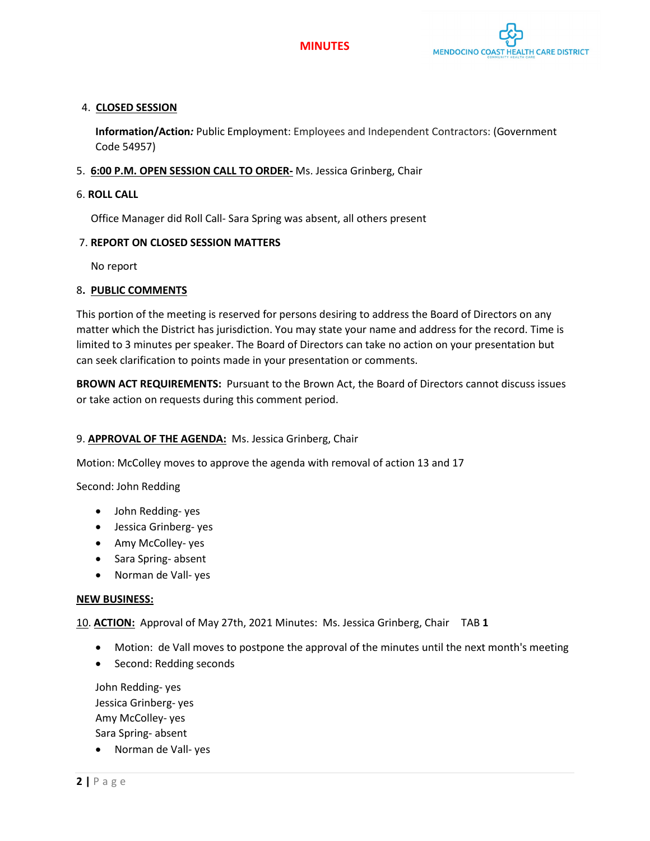



# 4. **CLOSED SESSION**

**Information/Action***:* Public Employment: Employees and Independent Contractors: (Government Code 54957)

# 5. **6:00 P.M. OPEN SESSION CALL TO ORDER-** Ms. Jessica Grinberg, Chair

## 6. **ROLL CALL**

Office Manager did Roll Call- Sara Spring was absent, all others present

## 7. **REPORT ON CLOSED SESSION MATTERS**

No report

## 8**. PUBLIC COMMENTS**

This portion of the meeting is reserved for persons desiring to address the Board of Directors on any matter which the District has jurisdiction. You may state your name and address for the record. Time is limited to 3 minutes per speaker. The Board of Directors can take no action on your presentation but can seek clarification to points made in your presentation or comments.

**BROWN ACT REQUIREMENTS:** Pursuant to the Brown Act, the Board of Directors cannot discuss issues or take action on requests during this comment period.

# 9. **APPROVAL OF THE AGENDA:** Ms. Jessica Grinberg, Chair

Motion: McColley moves to approve the agenda with removal of action 13 and 17

Second: John Redding

- John Redding- yes
- Jessica Grinberg- yes
- Amy McColley- yes
- Sara Spring- absent
- Norman de Vall- yes

#### **NEW BUSINESS:**

10. **ACTION:** Approval of May 27th, 2021 Minutes: Ms. Jessica Grinberg, Chair TAB **1**

- Motion: de Vall moves to postpone the approval of the minutes until the next month's meeting
- Second: Redding seconds

John Redding- yes Jessica Grinberg- yes Amy McColley- yes Sara Spring- absent

• Norman de Vall- yes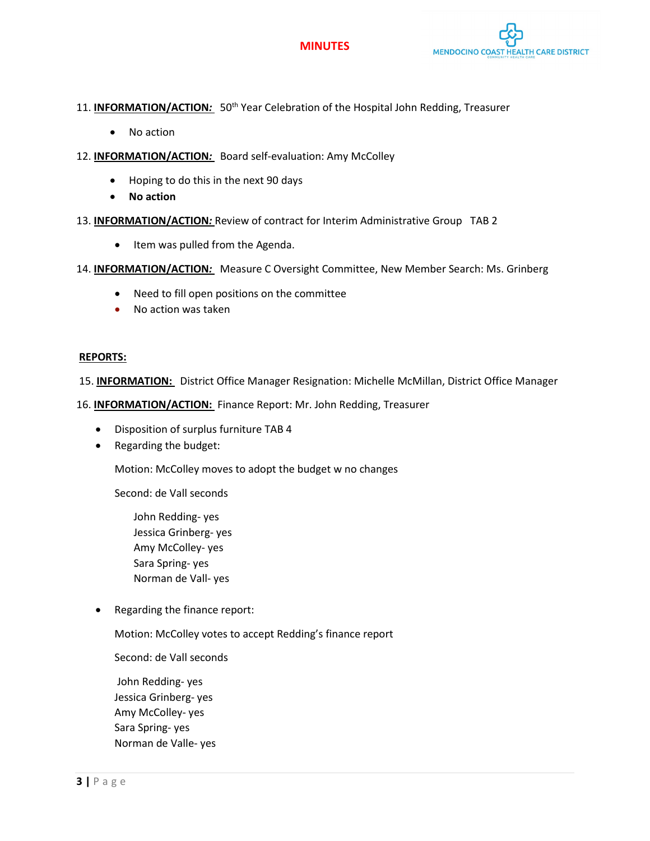# **MINUTES**



## 11. **INFORMATION/ACTION**: 50<sup>th</sup> Year Celebration of the Hospital John Redding, Treasurer

- No action
- 12. **INFORMATION/ACTION***:* Board self-evaluation: Amy McColley
	- Hoping to do this in the next 90 days
	- **No action**
- 13. **INFORMATION/ACTION***:* Review of contract for Interim Administrative Group TAB 2
	- Item was pulled from the Agenda.
- 14. **INFORMATION/ACTION***:* Measure C Oversight Committee, New Member Search: Ms. Grinberg
	- Need to fill open positions on the committee
	- No action was taken

#### **REPORTS:**

15. **INFORMATION:** District Office Manager Resignation: Michelle McMillan, District Office Manager

16. **INFORMATION/ACTION:** Finance Report: Mr. John Redding, Treasurer

- Disposition of surplus furniture TAB 4
- Regarding the budget:

Motion: McColley moves to adopt the budget w no changes

Second: de Vall seconds

John Redding- yes Jessica Grinberg- yes Amy McColley- yes Sara Spring- yes Norman de Vall- yes

• Regarding the finance report:

Motion: McColley votes to accept Redding's finance report

Second: de Vall seconds

John Redding- yes Jessica Grinberg- yes Amy McColley- yes Sara Spring- yes Norman de Valle- yes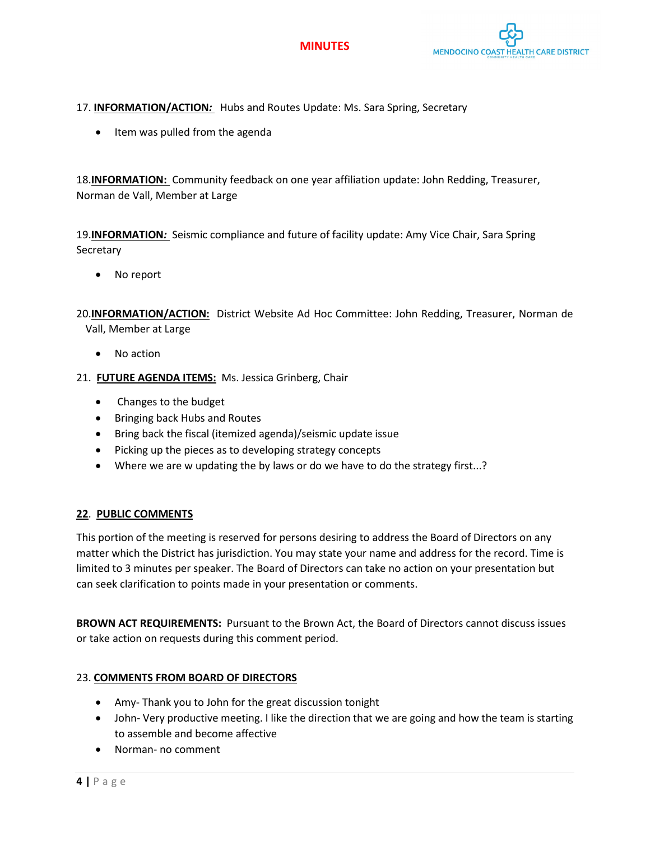



17. **INFORMATION/ACTION***:* Hubs and Routes Update: Ms. Sara Spring, Secretary

• Item was pulled from the agenda

18.**INFORMATION:** Community feedback on one year affiliation update: John Redding, Treasurer, Norman de Vall, Member at Large

19.**INFORMATION***:* Seismic compliance and future of facility update: Amy Vice Chair, Sara Spring Secretary

No report

20.**INFORMATION/ACTION:** District Website Ad Hoc Committee: John Redding, Treasurer, Norman de Vall, Member at Large

- No action
- 21. **FUTURE AGENDA ITEMS:** Ms. Jessica Grinberg, Chair
	- Changes to the budget
	- Bringing back Hubs and Routes
	- Bring back the fiscal (itemized agenda)/seismic update issue
	- Picking up the pieces as to developing strategy concepts
	- Where we are w updating the by laws or do we have to do the strategy first...?

# **22**. **PUBLIC COMMENTS**

This portion of the meeting is reserved for persons desiring to address the Board of Directors on any matter which the District has jurisdiction. You may state your name and address for the record. Time is limited to 3 minutes per speaker. The Board of Directors can take no action on your presentation but can seek clarification to points made in your presentation or comments.

**BROWN ACT REQUIREMENTS:** Pursuant to the Brown Act, the Board of Directors cannot discuss issues or take action on requests during this comment period.

# 23. **COMMENTS FROM BOARD OF DIRECTORS**

- Amy- Thank you to John for the great discussion tonight
- John- Very productive meeting. I like the direction that we are going and how the team is starting to assemble and become affective
- Norman- no comment